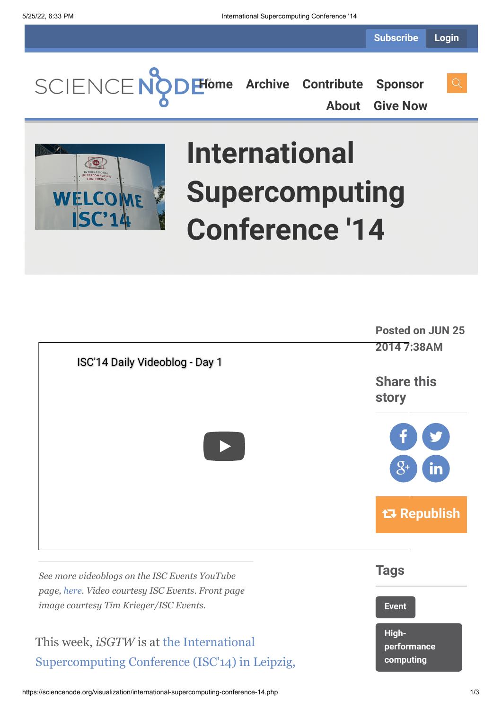**[Home](https://sciencenode.org/) [Archive](https://sciencenode.org/archive/index.php) [Contribute](https://sciencenode.org/contribute/index.php) [Sponsor](https://sciencenode.org/sponsor/index.php)**

**[About](https://sciencenode.org/about/index.php) [Give Now](https://sciencenode.org/donate/index.php)**



## **International Supercomputing Conference '14**

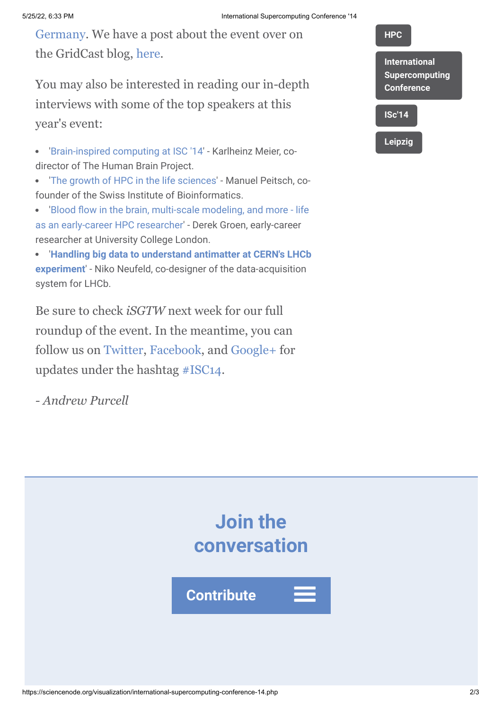[Germany. We have a post about the event over on](http://www.isc-events.com/ct.php?id=72) the GridCast blog, [here](http://gridtalk-project.blogspot.com/2014/06/putting-super-in-supercomputing-at-isc14.html).

You may also be interested in reading our in-depth interviews with some of the top speakers at this year's event:

- '[Brain-inspired computing at ISC '14](http://www.isgtw.org/feature/brain-inspired-computing-isc-14)' Karlheinz Meier, codirector of The Human Brain Project.
- '[The growth of HPC in the life sciences](http://www.isgtw.org/feature/growth-hpc-life-sciences)' Manuel Peitsch, cofounder of the Swiss Institute of Bioinformatics.
- 'Blood flow in the brain, multi-scale modeling, and more life [as an early-career HPC researcher' - Derek Groen, early-career](http://www.isgtw.org/feature/blood-flow-brain-multi-scale-modeling-and-more-life-early-career-hpc-researcher) researcher at University College London.
- '**[Handling big data to understand antimatter at CERN's LHCb](http://www.isgtw.org/feature/handling-big-data-understand-antimatter-cerns-lhcb-experiment) experiment**' - Niko Neufeld, co-designer of the data-acquisition system for LHCb.

Be sure to check *iSGTW* next week for our full roundup of the event. In the meantime, you can follow us on [Twitter](https://twitter.com/search?q=isgtw&src=typd), [Facebook,](https://www.facebook.com/pages/International-Science-Grid-This-Week/141926395796) and [Google+](https://plus.google.com/100076081909774278210/posts) for updates under the hashtag [#ISC14.](https://twitter.com/search?f=realtime&q=%23ISC14&src=hash)

*- Andrew Purcell*



**[Leipzig](https://sciencenode.org/tag/?tag=Leipzig)**

**[HPC](https://sciencenode.org/tag/?tag=HPC)**



**Contribute**